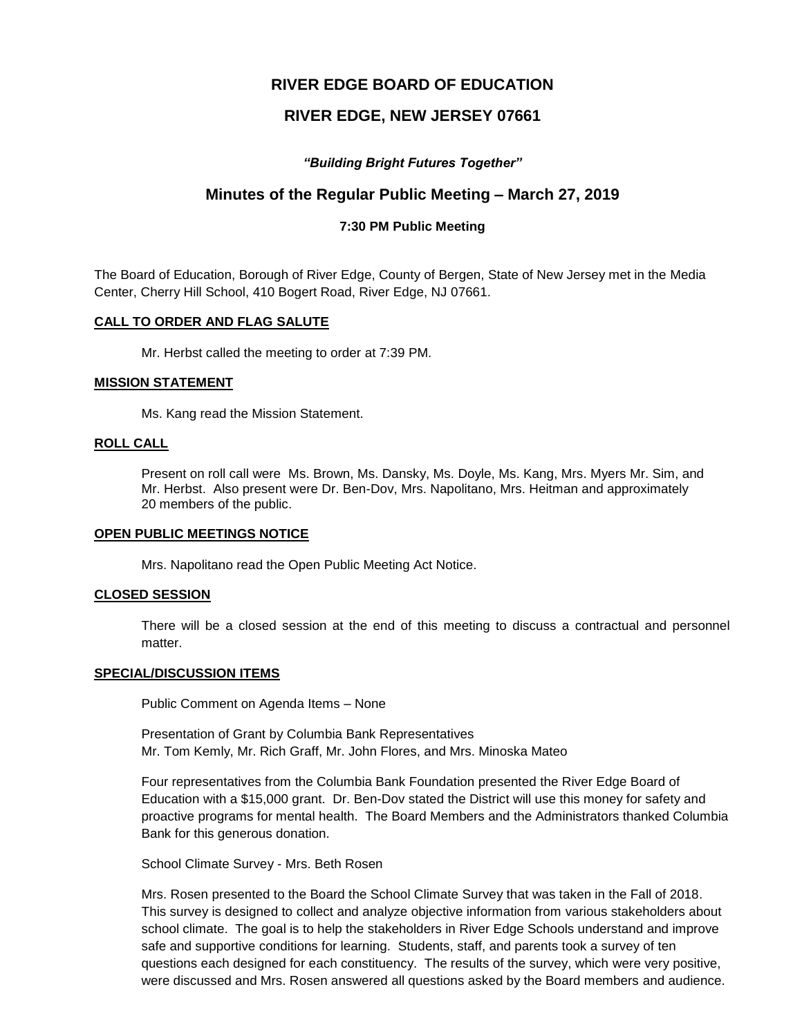# **RIVER EDGE BOARD OF EDUCATION**

# **RIVER EDGE, NEW JERSEY 07661**

# *"Building Bright Futures Together"*

# **Minutes of the Regular Public Meeting – March 27, 2019**

## **7:30 PM Public Meeting**

The Board of Education, Borough of River Edge, County of Bergen, State of New Jersey met in the Media Center, Cherry Hill School, 410 Bogert Road, River Edge, NJ 07661.

### **CALL TO ORDER AND FLAG SALUTE**

Mr. Herbst called the meeting to order at 7:39 PM.

#### **MISSION STATEMENT**

Ms. Kang read the Mission Statement.

#### **ROLL CALL**

Present on roll call were Ms. Brown, Ms. Dansky, Ms. Doyle, Ms. Kang, Mrs. Myers Mr. Sim, and Mr. Herbst. Also present were Dr. Ben-Dov, Mrs. Napolitano, Mrs. Heitman and approximately 20 members of the public.

#### **OPEN PUBLIC MEETINGS NOTICE**

Mrs. Napolitano read the Open Public Meeting Act Notice.

#### **CLOSED SESSION**

There will be a closed session at the end of this meeting to discuss a contractual and personnel matter.

#### **SPECIAL/DISCUSSION ITEMS**

Public Comment on Agenda Items – None

Presentation of Grant by Columbia Bank Representatives Mr. Tom Kemly, Mr. Rich Graff, Mr. John Flores, and Mrs. Minoska Mateo

Four representatives from the Columbia Bank Foundation presented the River Edge Board of Education with a \$15,000 grant. Dr. Ben-Dov stated the District will use this money for safety and proactive programs for mental health. The Board Members and the Administrators thanked Columbia Bank for this generous donation.

School Climate Survey - Mrs. Beth Rosen

Mrs. Rosen presented to the Board the School Climate Survey that was taken in the Fall of 2018. This survey is designed to collect and analyze objective information from various stakeholders about school climate. The goal is to help the stakeholders in River Edge Schools understand and improve safe and supportive conditions for learning. Students, staff, and parents took a survey of ten questions each designed for each constituency. The results of the survey, which were very positive, were discussed and Mrs. Rosen answered all questions asked by the Board members and audience.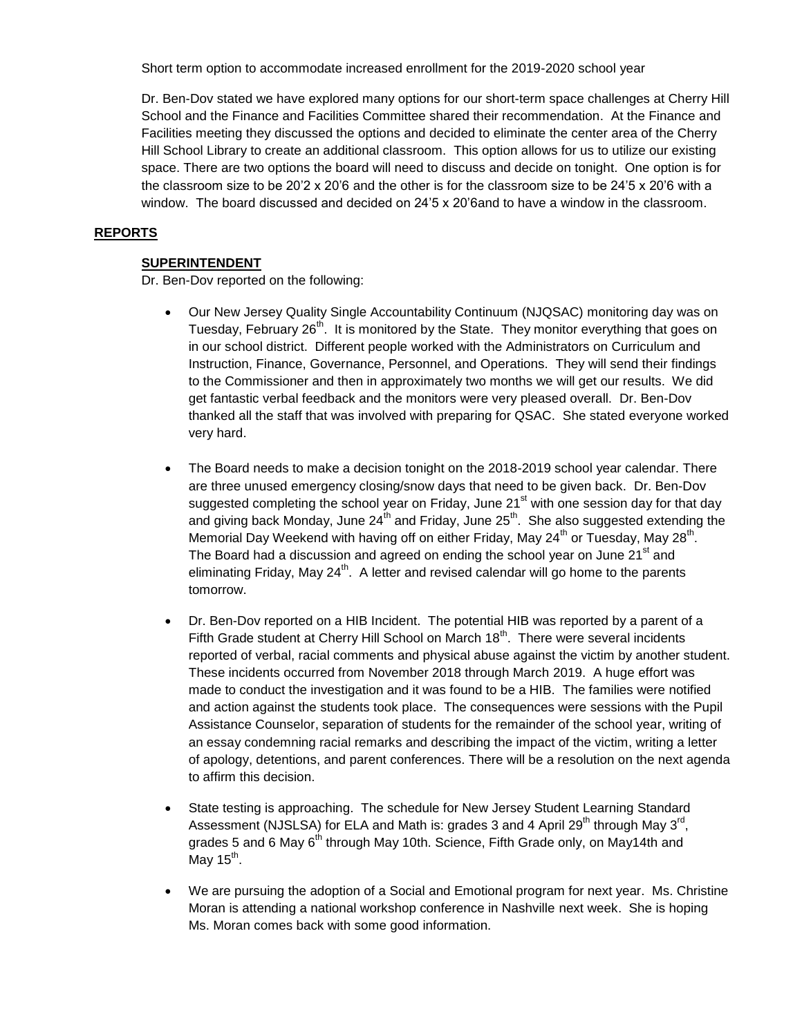Short term option to accommodate increased enrollment for the 2019-2020 school year

Dr. Ben-Dov stated we have explored many options for our short-term space challenges at Cherry Hill School and the Finance and Facilities Committee shared their recommendation. At the Finance and Facilities meeting they discussed the options and decided to eliminate the center area of the Cherry Hill School Library to create an additional classroom. This option allows for us to utilize our existing space. There are two options the board will need to discuss and decide on tonight. One option is for the classroom size to be 20'2 x 20'6 and the other is for the classroom size to be 24'5 x 20'6 with a window. The board discussed and decided on 24'5 x 20'6and to have a window in the classroom.

# **REPORTS**

# **SUPERINTENDENT**

Dr. Ben-Dov reported on the following:

- Our New Jersey Quality Single Accountability Continuum (NJQSAC) monitoring day was on Tuesday, February 26<sup>th</sup>. It is monitored by the State. They monitor everything that goes on in our school district. Different people worked with the Administrators on Curriculum and Instruction, Finance, Governance, Personnel, and Operations. They will send their findings to the Commissioner and then in approximately two months we will get our results. We did get fantastic verbal feedback and the monitors were very pleased overall. Dr. Ben-Dov thanked all the staff that was involved with preparing for QSAC. She stated everyone worked very hard.
- The Board needs to make a decision tonight on the 2018-2019 school year calendar. There are three unused emergency closing/snow days that need to be given back. Dr. Ben-Dov suggested completing the school year on Friday, June 21<sup>st</sup> with one session day for that day and giving back Monday, June  $24^{th}$  and Friday, June  $25^{th}$ . She also suggested extending the Memorial Day Weekend with having off on either Friday, May 24<sup>th</sup> or Tuesday, May 28<sup>th</sup>. The Board had a discussion and agreed on ending the school year on June 21 $^{\rm st}$  and eliminating Friday, May  $24<sup>th</sup>$ . A letter and revised calendar will go home to the parents tomorrow.
- Dr. Ben-Dov reported on a HIB Incident. The potential HIB was reported by a parent of a Fifth Grade student at Cherry Hill School on March 18<sup>th</sup>. There were several incidents reported of verbal, racial comments and physical abuse against the victim by another student. These incidents occurred from November 2018 through March 2019. A huge effort was made to conduct the investigation and it was found to be a HIB. The families were notified and action against the students took place. The consequences were sessions with the Pupil Assistance Counselor, separation of students for the remainder of the school year, writing of an essay condemning racial remarks and describing the impact of the victim, writing a letter of apology, detentions, and parent conferences. There will be a resolution on the next agenda to affirm this decision.
- State testing is approaching. The schedule for New Jersey Student Learning Standard Assessment (NJSLSA) for ELA and Math is: grades 3 and 4 April 29<sup>th</sup> through May 3<sup>rd</sup>, grades 5 and 6 May 6<sup>th</sup> through May 10th. Science, Fifth Grade only, on May14th and May 15<sup>th</sup>.
- We are pursuing the adoption of a Social and Emotional program for next year. Ms. Christine Moran is attending a national workshop conference in Nashville next week. She is hoping Ms. Moran comes back with some good information.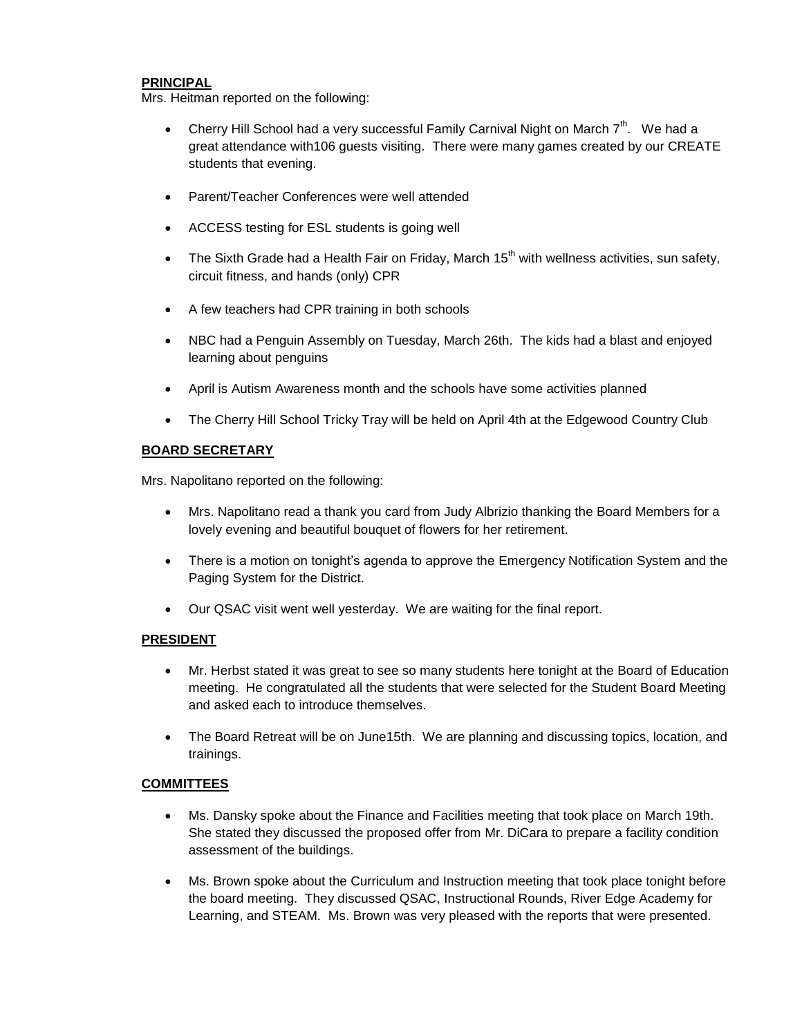## **PRINCIPAL**

Mrs. Heitman reported on the following:

- Cherry Hill School had a very successful Family Carnival Night on March  $7<sup>th</sup>$ . We had a great attendance with106 guests visiting. There were many games created by our CREATE students that evening.
- Parent/Teacher Conferences were well attended
- ACCESS testing for ESL students is going well
- The Sixth Grade had a Health Fair on Friday, March 15<sup>th</sup> with wellness activities, sun safety, circuit fitness, and hands (only) CPR
- A few teachers had CPR training in both schools
- NBC had a Penguin Assembly on Tuesday, March 26th. The kids had a blast and enjoyed learning about penguins
- April is Autism Awareness month and the schools have some activities planned
- The Cherry Hill School Tricky Tray will be held on April 4th at the Edgewood Country Club

# **BOARD SECRETARY**

Mrs. Napolitano reported on the following:

- Mrs. Napolitano read a thank you card from Judy Albrizio thanking the Board Members for a lovely evening and beautiful bouquet of flowers for her retirement.
- There is a motion on tonight's agenda to approve the Emergency Notification System and the Paging System for the District.
- Our QSAC visit went well yesterday. We are waiting for the final report.

# **PRESIDENT**

- Mr. Herbst stated it was great to see so many students here tonight at the Board of Education meeting. He congratulated all the students that were selected for the Student Board Meeting and asked each to introduce themselves.
- The Board Retreat will be on June15th. We are planning and discussing topics, location, and trainings.

# **COMMITTEES**

- Ms. Dansky spoke about the Finance and Facilities meeting that took place on March 19th. She stated they discussed the proposed offer from Mr. DiCara to prepare a facility condition assessment of the buildings.
- Ms. Brown spoke about the Curriculum and Instruction meeting that took place tonight before the board meeting. They discussed QSAC, Instructional Rounds, River Edge Academy for Learning, and STEAM. Ms. Brown was very pleased with the reports that were presented.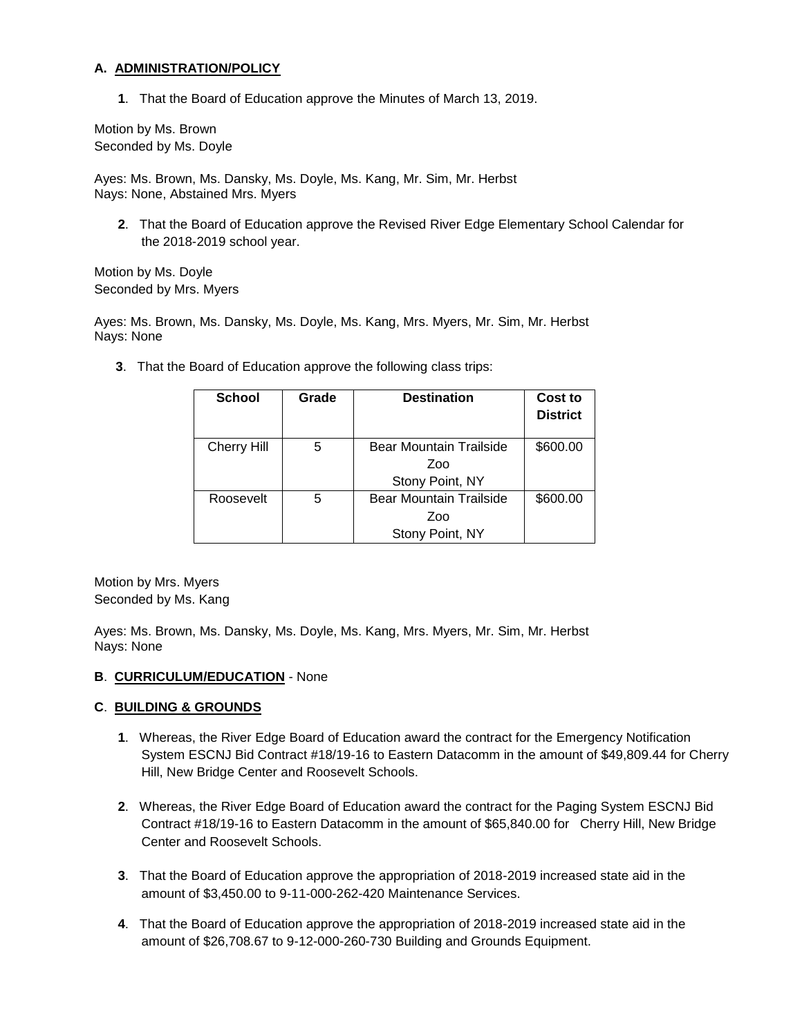## **A. ADMINISTRATION/POLICY**

**1**. That the Board of Education approve the Minutes of March 13, 2019.

Motion by Ms. Brown Seconded by Ms. Doyle

Ayes: Ms. Brown, Ms. Dansky, Ms. Doyle, Ms. Kang, Mr. Sim, Mr. Herbst Nays: None, Abstained Mrs. Myers

**2**. That the Board of Education approve the Revised River Edge Elementary School Calendar for the 2018-2019 school year.

Motion by Ms. Doyle Seconded by Mrs. Myers

Ayes: Ms. Brown, Ms. Dansky, Ms. Doyle, Ms. Kang, Mrs. Myers, Mr. Sim, Mr. Herbst Nays: None

| <b>School</b>      | Grade | <b>Destination</b>                                       | Cost to<br><b>District</b> |
|--------------------|-------|----------------------------------------------------------|----------------------------|
| <b>Cherry Hill</b> | 5     | Bear Mountain Trailside<br>Zoo<br>Stony Point, NY        | \$600.00                   |
| Roosevelt          | 5     | <b>Bear Mountain Trailside</b><br>Zoo<br>Stony Point, NY | \$600.00                   |

**3**. That the Board of Education approve the following class trips:

Motion by Mrs. Myers Seconded by Ms. Kang

Ayes: Ms. Brown, Ms. Dansky, Ms. Doyle, Ms. Kang, Mrs. Myers, Mr. Sim, Mr. Herbst Nays: None

### **B**. **CURRICULUM/EDUCATION** - None

## **C**. **BUILDING & GROUNDS**

- **1**. Whereas, the River Edge Board of Education award the contract for the Emergency Notification System ESCNJ Bid Contract #18/19-16 to Eastern Datacomm in the amount of \$49,809.44 for Cherry Hill, New Bridge Center and Roosevelt Schools.
- **2**. Whereas, the River Edge Board of Education award the contract for the Paging System ESCNJ Bid Contract #18/19-16 to Eastern Datacomm in the amount of \$65,840.00 for Cherry Hill, New Bridge Center and Roosevelt Schools.
- **3**. That the Board of Education approve the appropriation of 2018-2019 increased state aid in the amount of \$3,450.00 to 9-11-000-262-420 Maintenance Services.
- **4**. That the Board of Education approve the appropriation of 2018-2019 increased state aid in the amount of \$26,708.67 to 9-12-000-260-730 Building and Grounds Equipment.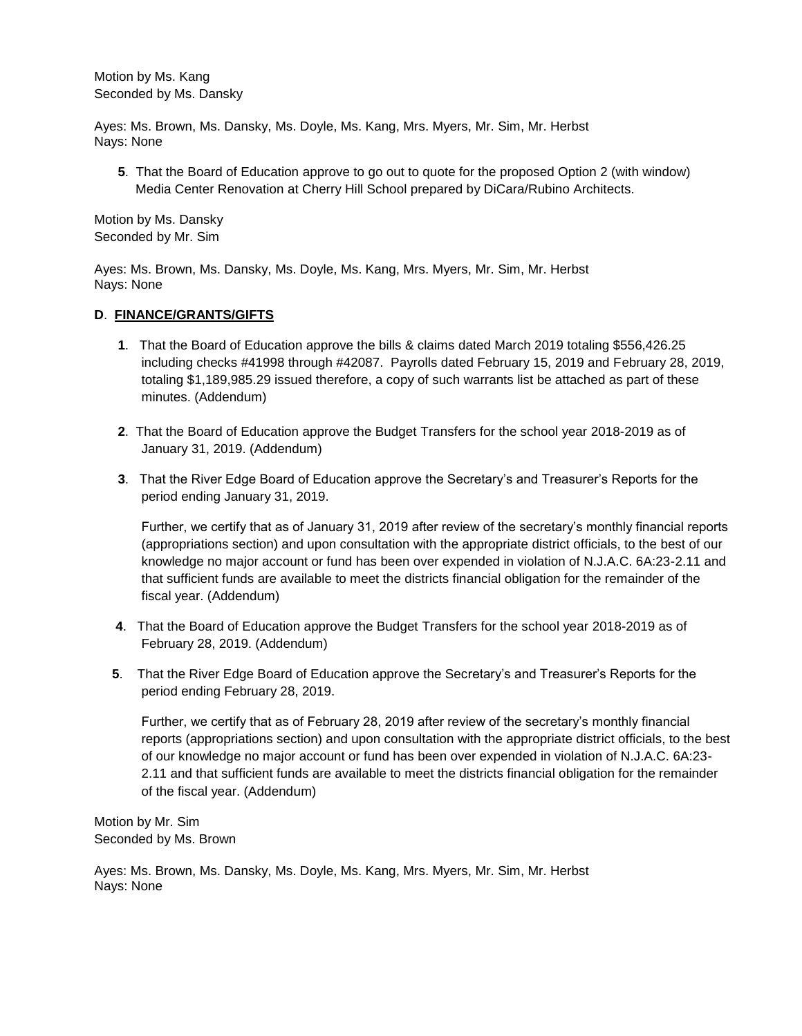Motion by Ms. Kang Seconded by Ms. Dansky

Ayes: Ms. Brown, Ms. Dansky, Ms. Doyle, Ms. Kang, Mrs. Myers, Mr. Sim, Mr. Herbst Nays: None

**5**. That the Board of Education approve to go out to quote for the proposed Option 2 (with window) Media Center Renovation at Cherry Hill School prepared by DiCara/Rubino Architects.

Motion by Ms. Dansky Seconded by Mr. Sim

Ayes: Ms. Brown, Ms. Dansky, Ms. Doyle, Ms. Kang, Mrs. Myers, Mr. Sim, Mr. Herbst Nays: None

### **D**. **FINANCE/GRANTS/GIFTS**

- **1**. That the Board of Education approve the bills & claims dated March 2019 totaling \$556,426.25 including checks #41998 through #42087. Payrolls dated February 15, 2019 and February 28, 2019, totaling \$1,189,985.29 issued therefore, a copy of such warrants list be attached as part of these minutes. (Addendum)
- **2**. That the Board of Education approve the Budget Transfers for the school year 2018-2019 as of January 31, 2019. (Addendum)
- **3**. That the River Edge Board of Education approve the Secretary's and Treasurer's Reports for the period ending January 31, 2019.

Further, we certify that as of January 31, 2019 after review of the secretary's monthly financial reports (appropriations section) and upon consultation with the appropriate district officials, to the best of our knowledge no major account or fund has been over expended in violation of N.J.A.C. 6A:23-2.11 and that sufficient funds are available to meet the districts financial obligation for the remainder of the fiscal year. (Addendum)

- **4**. That the Board of Education approve the Budget Transfers for the school year 2018-2019 as of February 28, 2019. (Addendum)
- **5**. That the River Edge Board of Education approve the Secretary's and Treasurer's Reports for the period ending February 28, 2019.

Further, we certify that as of February 28, 2019 after review of the secretary's monthly financial reports (appropriations section) and upon consultation with the appropriate district officials, to the best of our knowledge no major account or fund has been over expended in violation of N.J.A.C. 6A:23- 2.11 and that sufficient funds are available to meet the districts financial obligation for the remainder of the fiscal year. (Addendum)

Motion by Mr. Sim Seconded by Ms. Brown

Ayes: Ms. Brown, Ms. Dansky, Ms. Doyle, Ms. Kang, Mrs. Myers, Mr. Sim, Mr. Herbst Nays: None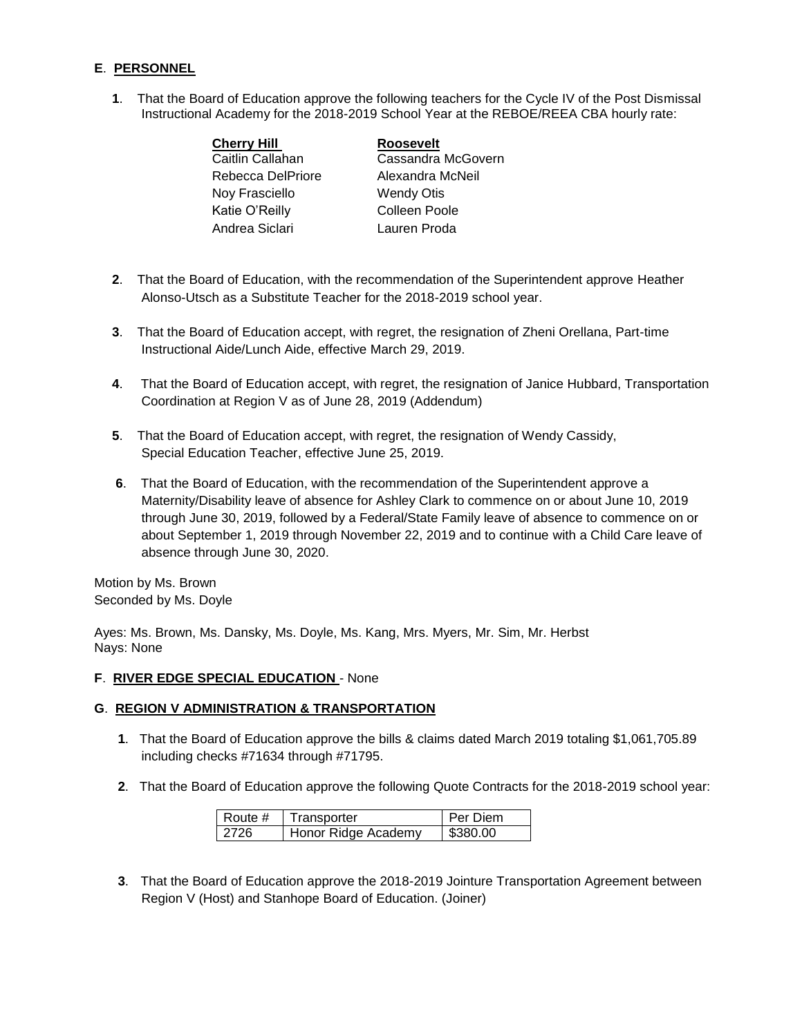# **E**. **PERSONNEL**

**1**. That the Board of Education approve the following teachers for the Cycle IV of the Post Dismissal Instructional Academy for the 2018-2019 School Year at the REBOE/REEA CBA hourly rate:

| <b>Cherry Hill</b> | <b>Roosevelt</b>   |
|--------------------|--------------------|
| Caitlin Callahan   | Cassandra McGovern |
| Rebecca DelPriore  | Alexandra McNeil   |
| Noy Frasciello     | <b>Wendy Otis</b>  |
| Katie O'Reilly     | Colleen Poole      |
| Andrea Siclari     | Lauren Proda       |
|                    |                    |

- **2**. That the Board of Education, with the recommendation of the Superintendent approve Heather Alonso-Utsch as a Substitute Teacher for the 2018-2019 school year.
- **3**. That the Board of Education accept, with regret, the resignation of Zheni Orellana, Part-time Instructional Aide/Lunch Aide, effective March 29, 2019.
- **4**. That the Board of Education accept, with regret, the resignation of Janice Hubbard, Transportation Coordination at Region V as of June 28, 2019 (Addendum)
- **5**. That the Board of Education accept, with regret, the resignation of Wendy Cassidy, Special Education Teacher, effective June 25, 2019.
- **6**. That the Board of Education, with the recommendation of the Superintendent approve a Maternity/Disability leave of absence for Ashley Clark to commence on or about June 10, 2019 through June 30, 2019, followed by a Federal/State Family leave of absence to commence on or about September 1, 2019 through November 22, 2019 and to continue with a Child Care leave of absence through June 30, 2020.

Motion by Ms. Brown Seconded by Ms. Doyle

Ayes: Ms. Brown, Ms. Dansky, Ms. Doyle, Ms. Kang, Mrs. Myers, Mr. Sim, Mr. Herbst Nays: None

#### **F**. **RIVER EDGE SPECIAL EDUCATION** - None

# **G**. **REGION V ADMINISTRATION & TRANSPORTATION**

- **1**. That the Board of Education approve the bills & claims dated March 2019 totaling \$1,061,705.89 including checks #71634 through #71795.
- **2**. That the Board of Education approve the following Quote Contracts for the 2018-2019 school year:

| Route # | Transporter         | l Per Diem |
|---------|---------------------|------------|
| 2726    | Honor Ridge Academy | \$380.00   |

**3**. That the Board of Education approve the 2018-2019 Jointure Transportation Agreement between Region V (Host) and Stanhope Board of Education. (Joiner)